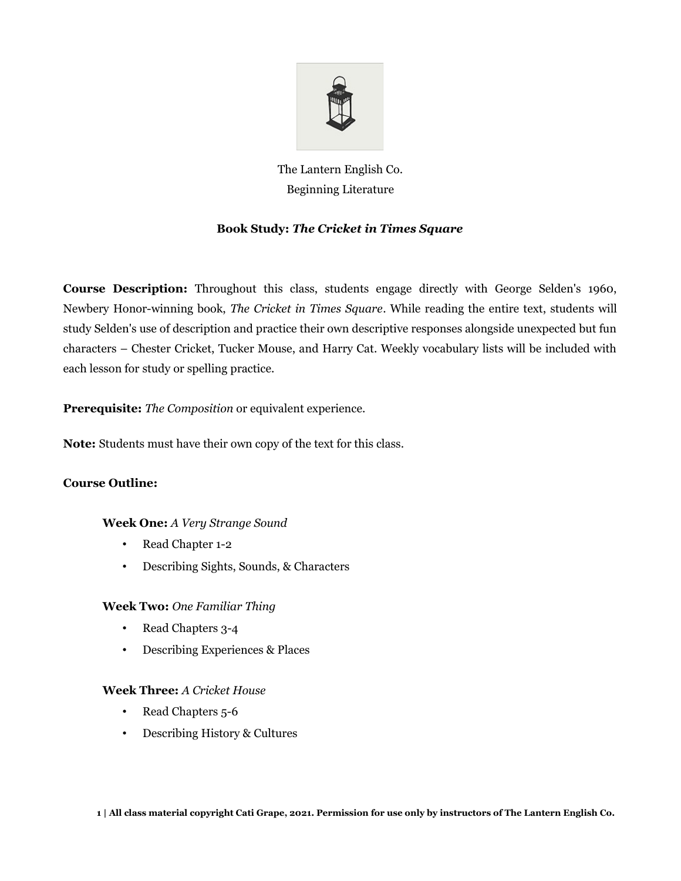

# The Lantern English Co. Beginning Literature

# **Book Study:** *The Cricket in Times Square*

**Course Description:** Throughout this class, students engage directly with George Selden's 1960, Newbery Honor-winning book, *The Cricket in Times Square*. While reading the entire text, students will study Selden's use of description and practice their own descriptive responses alongside unexpected but fun characters – Chester Cricket, Tucker Mouse, and Harry Cat. Weekly vocabulary lists will be included with each lesson for study or spelling practice.

**Prerequisite:** *The Composition* or equivalent experience.

**Note:** Students must have their own copy of the text for this class.

# **Course Outline:**

# **Week One:** *A Very Strange Sound*

- Read Chapter 1-2
- Describing Sights, Sounds, & Characters

# **Week Two:** *One Familiar Thing*

- Read Chapters 3-4
- Describing Experiences & Places

# **Week Three:** *A Cricket House*

- Read Chapters 5-6
- Describing History & Cultures